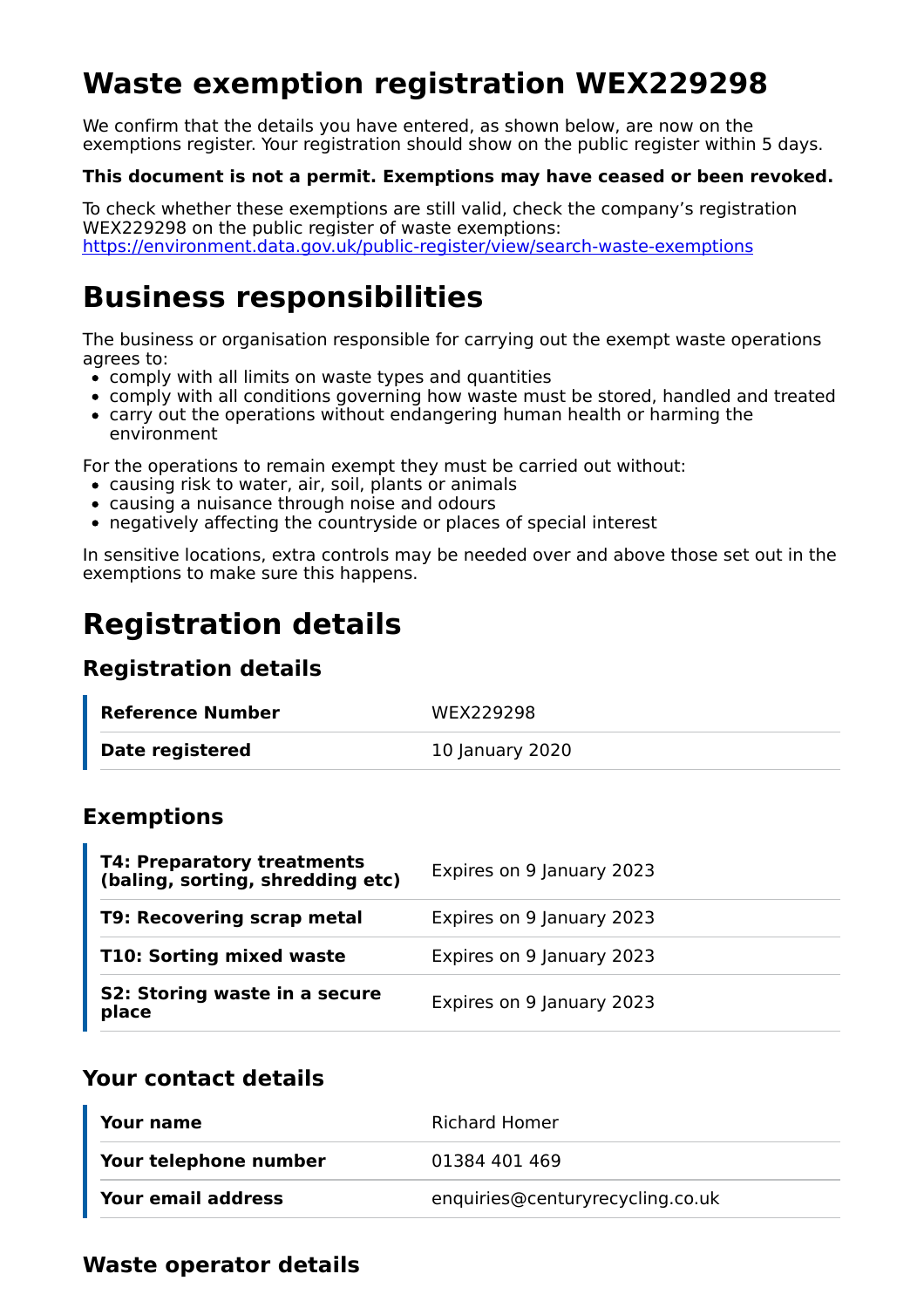# **Waste exemption registration WEX229298**

We confirm that the details you have entered, as shown below, are now on the exemptions register. Your registration should show on the public register within 5 days.

#### **This document is not a permit. Exemptions may have ceased or been revoked.**

To check whether these exemptions are still valid, check the company's registration WEX229298 on the public register of waste exemptions: https://environment.data.gov.uk/public-register/view/search-waste-exemptions

### **Business responsibilities**

The business or organisation responsible for carrying out the exempt waste operations agrees to:

- $\bullet$  comply with all limits on waste types and quantities
- comply with all conditions governing how waste must be stored, handled and treated
- carry out the operations without endangering human health or harming the environment

For the operations to remain exempt they must be carried out without:

- causing risk to water, air, soil, plants or animals
- causing a nuisance through noise and odours
- negatively affecting the countryside or places of special interest

In sensitive locations, extra controls may be needed over and above those set out in the exemptions to make sure this happens.

## **Registration details**

### **Registration details**

| Reference Number       | WEX229298       |
|------------------------|-----------------|
| <b>Date registered</b> | 10 January 2020 |

### **Exemptions**

| <b>T4: Preparatory treatments</b><br>(baling, sorting, shredding etc) | Expires on 9 January 2023 |
|-----------------------------------------------------------------------|---------------------------|
| T9: Recovering scrap metal                                            | Expires on 9 January 2023 |
| T10: Sorting mixed waste                                              | Expires on 9 January 2023 |
| S2: Storing waste in a secure<br>place                                | Expires on 9 January 2023 |

### **Your contact details**

| Your name             | Richard Homer                    |
|-----------------------|----------------------------------|
| Your telephone number | 01384 401 469                    |
| Your email address    | enquiries@centuryrecycling.co.uk |

### **Waste operator details**